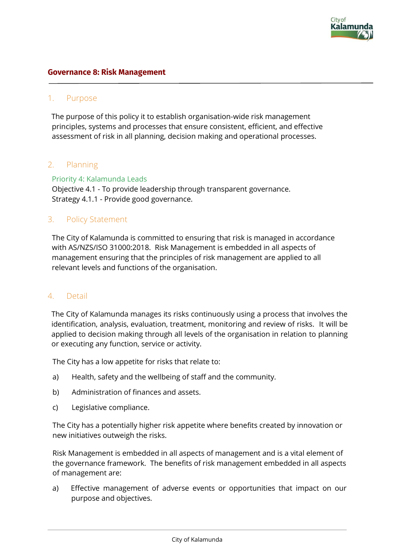

#### **Governance 8: Risk Management**

### 1. Purpose

The purpose of this policy it to establish organisation-wide risk management principles, systems and processes that ensure consistent, efficient, and effective assessment of risk in all planning, decision making and operational processes.

## 2. Planning

Priority 4: Kalamunda Leads

Objective 4.1 - To provide leadership through transparent governance. Strategy 4.1.1 - Provide good governance.

## 3. Policy Statement

The City of Kalamunda is committed to ensuring that risk is managed in accordance with AS/NZS/ISO 31000:2018. Risk Management is embedded in all aspects of management ensuring that the principles of risk management are applied to all relevant levels and functions of the organisation.

### 4. Detail

The City of Kalamunda manages its risks continuously using a process that involves the identification, analysis, evaluation, treatment, monitoring and review of risks. It will be applied to decision making through all levels of the organisation in relation to planning or executing any function, service or activity.

The City has a low appetite for risks that relate to:

- a) Health, safety and the wellbeing of staff and the community.
- b) Administration of finances and assets.
- c) Legislative compliance.

The City has a potentially higher risk appetite where benefits created by innovation or new initiatives outweigh the risks.

Risk Management is embedded in all aspects of management and is a vital element of the governance framework. The benefits of risk management embedded in all aspects of management are:

a) Effective management of adverse events or opportunities that impact on our purpose and objectives.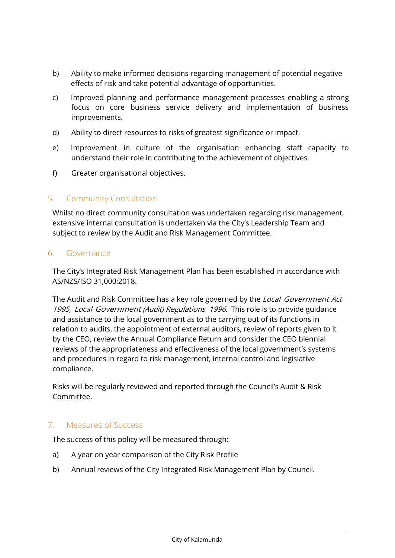- b) Ability to make informed decisions regarding management of potential negative effects of risk and take potential advantage of opportunities.
- c) Improved planning and performance management processes enabling a strong focus on core business service delivery and implementation of business improvements.
- d) Ability to direct resources to risks of greatest significance or impact.
- e) Improvement in culture of the organisation enhancing staff capacity to understand their role in contributing to the achievement of objectives.
- f) Greater organisational objectives.

## 5. Community Consultation

Whilst no direct community consultation was undertaken regarding risk management, extensive internal consultation is undertaken via the City's Leadership Team and subject to review by the Audit and Risk Management Committee.

### 6. Governance

The City's Integrated Risk Management Plan has been established in accordance with AS/NZS/ISO 31,000:2018.

The Audit and Risk Committee has a key role governed by the Local Government Act 1995, Local Government (Audit) Regulations 1996. This role is to provide guidance and assistance to the local government as to the carrying out of its functions in relation to audits, the appointment of external auditors, review of reports given to it by the CEO, review the Annual Compliance Return and consider the CEO biennial reviews of the appropriateness and effectiveness of the local government's systems and procedures in regard to risk management, internal control and legislative compliance.

Risks will be regularly reviewed and reported through the Council's Audit & Risk Committee.

## 7. Measures of Success

The success of this policy will be measured through:

- a) A year on year comparison of the City Risk Profile
- b) Annual reviews of the City Integrated Risk Management Plan by Council.